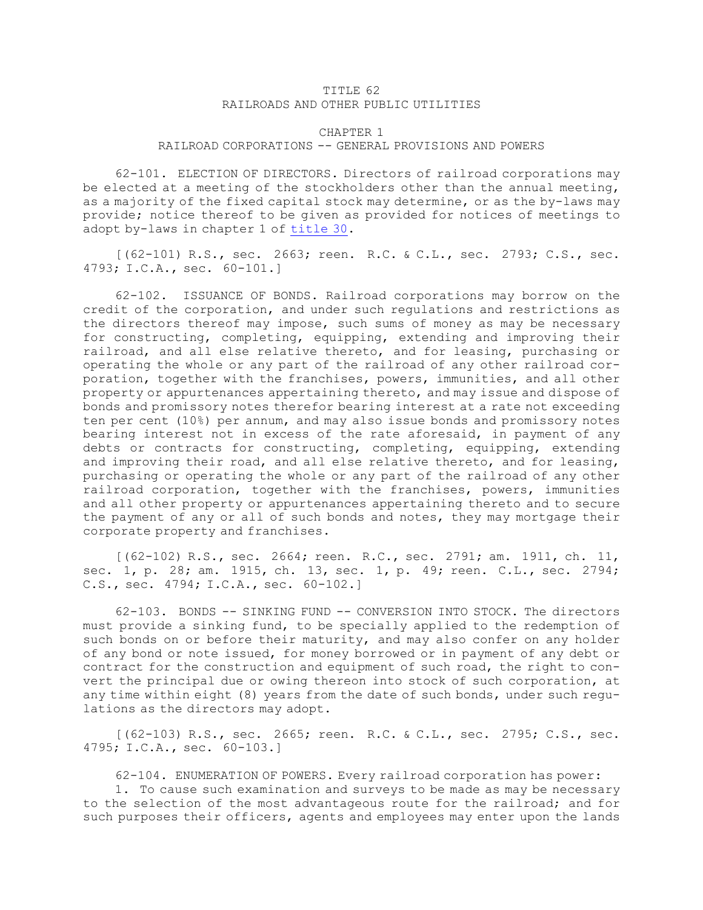## TITLE 62 RAILROADS AND OTHER PUBLIC UTILITIES

## CHAPTER 1 RAILROAD CORPORATIONS -- GENERAL PROVISIONS AND POWERS

62-101. ELECTION OF DIRECTORS. Directors of railroad corporations may be elected at <sup>a</sup> meeting of the stockholders other than the annual meeting, as <sup>a</sup> majority of the fixed capital stock may determine, or as the by-laws may provide; notice thereof to be given as provided for notices of meetings to adopt by-laws in chapter 1 of [title](https://legislature.idaho.gov/statutesrules/idstat/Title30/) 30.

[(62-101) R.S., sec. 2663; reen. R.C. & C.L., sec. 2793; C.S., sec. 4793; I.C.A., sec. 60-101.]

62-102. ISSUANCE OF BONDS. Railroad corporations may borrow on the credit of the corporation, and under such regulations and restrictions as the directors thereof may impose, such sums of money as may be necessary for constructing, completing, equipping, extending and improving their railroad, and all else relative thereto, and for leasing, purchasing or operating the whole or any part of the railroad of any other railroad corporation, together with the franchises, powers, immunities, and all other property or appurtenances appertaining thereto, and may issue and dispose of bonds and promissory notes therefor bearing interest at <sup>a</sup> rate not exceeding ten per cent (10%) per annum, and may also issue bonds and promissory notes bearing interest not in excess of the rate aforesaid, in payment of any debts or contracts for constructing, completing, equipping, extending and improving their road, and all else relative thereto, and for leasing, purchasing or operating the whole or any part of the railroad of any other railroad corporation, together with the franchises, powers, immunities and all other property or appurtenances appertaining thereto and to secure the payment of any or all of such bonds and notes, they may mortgage their corporate property and franchises.

[(62-102) R.S., sec. 2664; reen. R.C., sec. 2791; am. 1911, ch. 11, sec. 1, p. 28; am. 1915, ch. 13, sec. 1, p. 49; reen. C.L., sec. 2794; C.S., sec. 4794; I.C.A., sec. 60-102.]

62-103. BONDS -- SINKING FUND -- CONVERSION INTO STOCK. The directors must provide <sup>a</sup> sinking fund, to be specially applied to the redemption of such bonds on or before their maturity, and may also confer on any holder of any bond or note issued, for money borrowed or in payment of any debt or contract for the construction and equipment of such road, the right to convert the principal due or owing thereon into stock of such corporation, at any time within eight (8) years from the date of such bonds, under such regulations as the directors may adopt.

[(62-103) R.S., sec. 2665; reen. R.C. & C.L., sec. 2795; C.S., sec. 4795; I.C.A., sec. 60-103.]

62-104. ENUMERATION OF POWERS. Every railroad corporation has power:

1. To cause such examination and surveys to be made as may be necessary to the selection of the most advantageous route for the railroad; and for such purposes their officers, agents and employees may enter upon the lands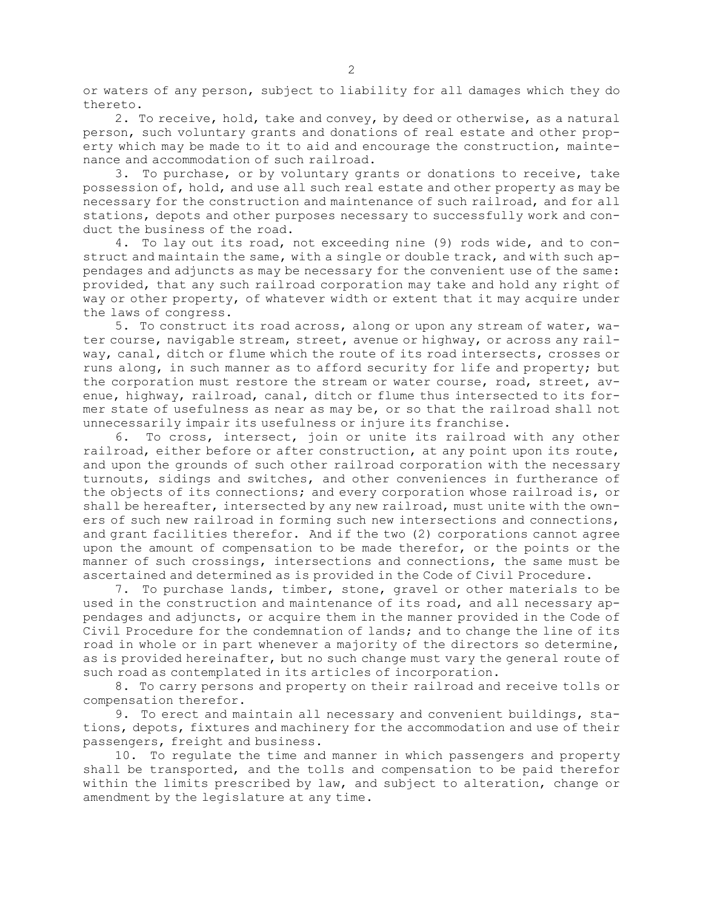or waters of any person, subject to liability for all damages which they do thereto.

2. To receive, hold, take and convey, by deed or otherwise, as <sup>a</sup> natural person, such voluntary grants and donations of real estate and other property which may be made to it to aid and encourage the construction, maintenance and accommodation of such railroad.

3. To purchase, or by voluntary grants or donations to receive, take possession of, hold, and use all such real estate and other property as may be necessary for the construction and maintenance of such railroad, and for all stations, depots and other purposes necessary to successfully work and conduct the business of the road.

4. To lay out its road, not exceeding nine (9) rods wide, and to construct and maintain the same, with <sup>a</sup> single or double track, and with such appendages and adjuncts as may be necessary for the convenient use of the same: provided, that any such railroad corporation may take and hold any right of way or other property, of whatever width or extent that it may acquire under the laws of congress.

5. To construct its road across, along or upon any stream of water, water course, navigable stream, street, avenue or highway, or across any railway, canal, ditch or flume which the route of its road intersects, crosses or runs along, in such manner as to afford security for life and property; but the corporation must restore the stream or water course, road, street, avenue, highway, railroad, canal, ditch or flume thus intersected to its former state of usefulness as near as may be, or so that the railroad shall not unnecessarily impair its usefulness or injure its franchise.

6. To cross, intersect, join or unite its railroad with any other railroad, either before or after construction, at any point upon its route, and upon the grounds of such other railroad corporation with the necessary turnouts, sidings and switches, and other conveniences in furtherance of the objects of its connections; and every corporation whose railroad is, or shall be hereafter, intersected by any new railroad, must unite with the owners of such new railroad in forming such new intersections and connections, and grant facilities therefor. And if the two (2) corporations cannot agree upon the amount of compensation to be made therefor, or the points or the manner of such crossings, intersections and connections, the same must be ascertained and determined as is provided in the Code of Civil Procedure.

7. To purchase lands, timber, stone, gravel or other materials to be used in the construction and maintenance of its road, and all necessary appendages and adjuncts, or acquire them in the manner provided in the Code of Civil Procedure for the condemnation of lands; and to change the line of its road in whole or in part whenever <sup>a</sup> majority of the directors so determine, as is provided hereinafter, but no such change must vary the general route of such road as contemplated in its articles of incorporation.

8. To carry persons and property on their railroad and receive tolls or compensation therefor.

9. To erect and maintain all necessary and convenient buildings, stations, depots, fixtures and machinery for the accommodation and use of their passengers, freight and business.

10. To regulate the time and manner in which passengers and property shall be transported, and the tolls and compensation to be paid therefor within the limits prescribed by law, and subject to alteration, change or amendment by the legislature at any time.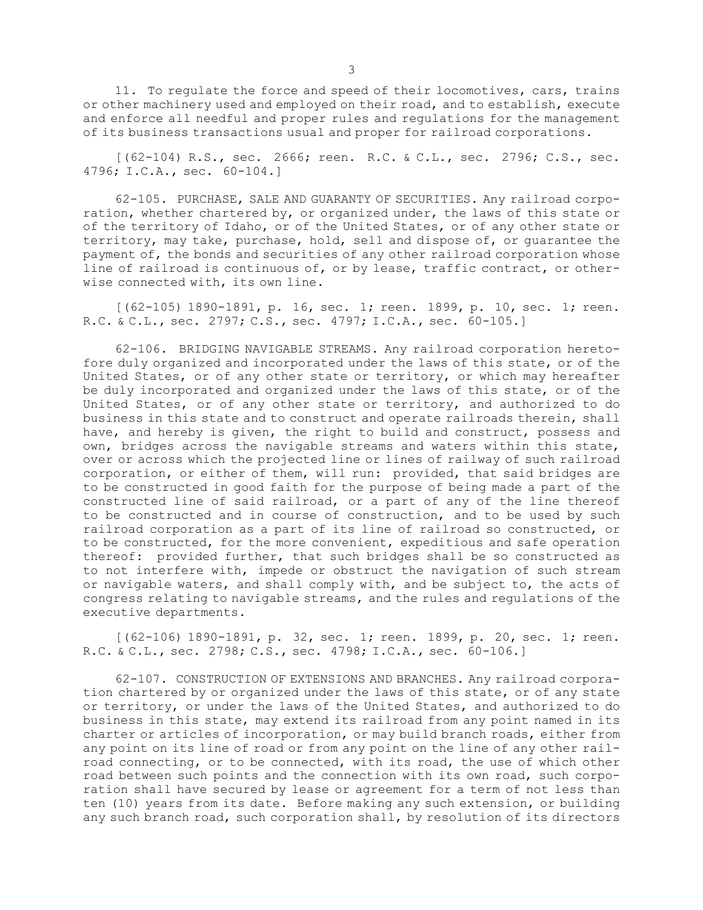11. To regulate the force and speed of their locomotives, cars, trains or other machinery used and employed on their road, and to establish, execute and enforce all needful and proper rules and regulations for the management of its business transactions usual and proper for railroad corporations.

[(62-104) R.S., sec. 2666; reen. R.C. & C.L., sec. 2796; C.S., sec. 4796; I.C.A., sec. 60-104.]

62-105. PURCHASE, SALE AND GUARANTY OF SECURITIES. Any railroad corporation, whether chartered by, or organized under, the laws of this state or of the territory of Idaho, or of the United States, or of any other state or territory, may take, purchase, hold, sell and dispose of, or guarantee the payment of, the bonds and securities of any other railroad corporation whose line of railroad is continuous of, or by lease, traffic contract, or otherwise connected with, its own line.

[(62-105) 1890-1891, p. 16, sec. 1; reen. 1899, p. 10, sec. 1; reen. R.C. & C.L., sec. 2797; C.S., sec. 4797; I.C.A., sec. 60-105.]

62-106. BRIDGING NAVIGABLE STREAMS. Any railroad corporation heretofore duly organized and incorporated under the laws of this state, or of the United States, or of any other state or territory, or which may hereafter be duly incorporated and organized under the laws of this state, or of the United States, or of any other state or territory, and authorized to do business in this state and to construct and operate railroads therein, shall have, and hereby is given, the right to build and construct, possess and own, bridges across the navigable streams and waters within this state, over or across which the projected line or lines of railway of such railroad corporation, or either of them, will run: provided, that said bridges are to be constructed in good faith for the purpose of being made <sup>a</sup> part of the constructed line of said railroad, or <sup>a</sup> part of any of the line thereof to be constructed and in course of construction, and to be used by such railroad corporation as <sup>a</sup> part of its line of railroad so constructed, or to be constructed, for the more convenient, expeditious and safe operation thereof: provided further, that such bridges shall be so constructed as to not interfere with, impede or obstruct the navigation of such stream or navigable waters, and shall comply with, and be subject to, the acts of congress relating to navigable streams, and the rules and regulations of the executive departments.

[(62-106) 1890-1891, p. 32, sec. 1; reen. 1899, p. 20, sec. 1; reen. R.C. & C.L., sec. 2798; C.S., sec. 4798; I.C.A., sec. 60-106.]

62-107. CONSTRUCTION OF EXTENSIONS AND BRANCHES. Any railroad corporation chartered by or organized under the laws of this state, or of any state or territory, or under the laws of the United States, and authorized to do business in this state, may extend its railroad from any point named in its charter or articles of incorporation, or may build branch roads, either from any point on its line of road or from any point on the line of any other railroad connecting, or to be connected, with its road, the use of which other road between such points and the connection with its own road, such corporation shall have secured by lease or agreement for <sup>a</sup> term of not less than ten (10) years from its date. Before making any such extension, or building any such branch road, such corporation shall, by resolution of its directors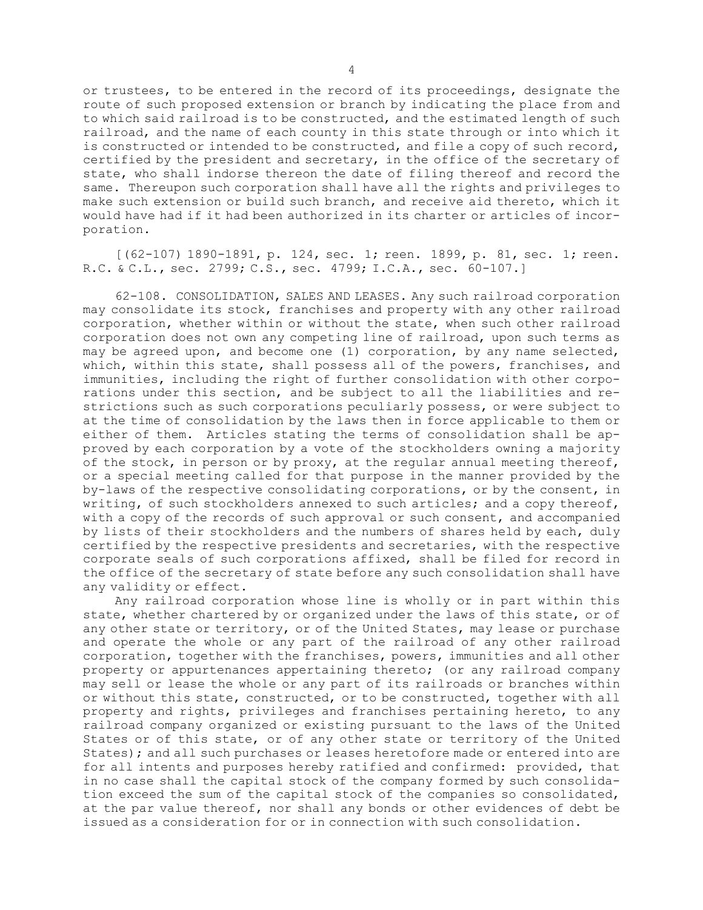or trustees, to be entered in the record of its proceedings, designate the route of such proposed extension or branch by indicating the place from and to which said railroad is to be constructed, and the estimated length of such railroad, and the name of each county in this state through or into which it is constructed or intended to be constructed, and file <sup>a</sup> copy of such record, certified by the president and secretary, in the office of the secretary of state, who shall indorse thereon the date of filing thereof and record the same. Thereupon such corporation shall have all the rights and privileges to make such extension or build such branch, and receive aid thereto, which it would have had if it had been authorized in its charter or articles of incorporation.

[(62-107) 1890-1891, p. 124, sec. 1; reen. 1899, p. 81, sec. 1; reen. R.C. & C.L., sec. 2799; C.S., sec. 4799; I.C.A., sec. 60-107.]

62-108. CONSOLIDATION, SALES AND LEASES. Any such railroad corporation may consolidate its stock, franchises and property with any other railroad corporation, whether within or without the state, when such other railroad corporation does not own any competing line of railroad, upon such terms as may be agreed upon, and become one (1) corporation, by any name selected, which, within this state, shall possess all of the powers, franchises, and immunities, including the right of further consolidation with other corporations under this section, and be subject to all the liabilities and restrictions such as such corporations peculiarly possess, or were subject to at the time of consolidation by the laws then in force applicable to them or either of them. Articles stating the terms of consolidation shall be approved by each corporation by <sup>a</sup> vote of the stockholders owning <sup>a</sup> majority of the stock, in person or by proxy, at the regular annual meeting thereof, or <sup>a</sup> special meeting called for that purpose in the manner provided by the by-laws of the respective consolidating corporations, or by the consent, in writing, of such stockholders annexed to such articles; and a copy thereof, with <sup>a</sup> copy of the records of such approval or such consent, and accompanied by lists of their stockholders and the numbers of shares held by each, duly certified by the respective presidents and secretaries, with the respective corporate seals of such corporations affixed, shall be filed for record in the office of the secretary of state before any such consolidation shall have any validity or effect.

Any railroad corporation whose line is wholly or in part within this state, whether chartered by or organized under the laws of this state, or of any other state or territory, or of the United States, may lease or purchase and operate the whole or any part of the railroad of any other railroad corporation, together with the franchises, powers, immunities and all other property or appurtenances appertaining thereto; (or any railroad company may sell or lease the whole or any part of its railroads or branches within or without this state, constructed, or to be constructed, together with all property and rights, privileges and franchises pertaining hereto, to any railroad company organized or existing pursuant to the laws of the United States or of this state, or of any other state or territory of the United States); and all such purchases or leases heretofore made or entered into are for all intents and purposes hereby ratified and confirmed: provided, that in no case shall the capital stock of the company formed by such consolidation exceed the sum of the capital stock of the companies so consolidated, at the par value thereof, nor shall any bonds or other evidences of debt be issued as <sup>a</sup> consideration for or in connection with such consolidation.